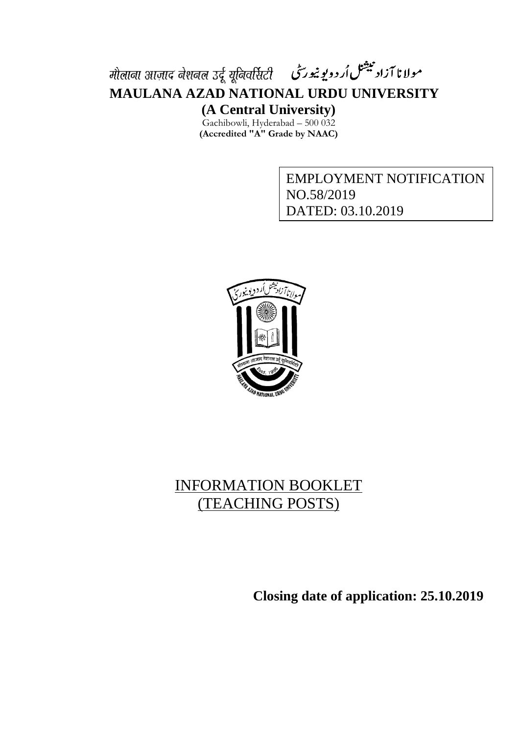# مولانا آزاد بیشنل اُردویوییورسی - मौलाना आज़ाद नेशनल उर्दू यूनिवर्सिटी **MAULANA AZAD NATIONAL URDU UNIVERSITY (A Central University)**

Gachibowli, Hyderabad – 500 032 **(Accredited "A" Grade by NAAC)**

> EMPLOYMENT NOTIFICATION NO.58/2019 DATED: 03.10.2019



## INFORMATION BOOKLET (TEACHING POSTS)

**Closing date of application: 25.10.2019**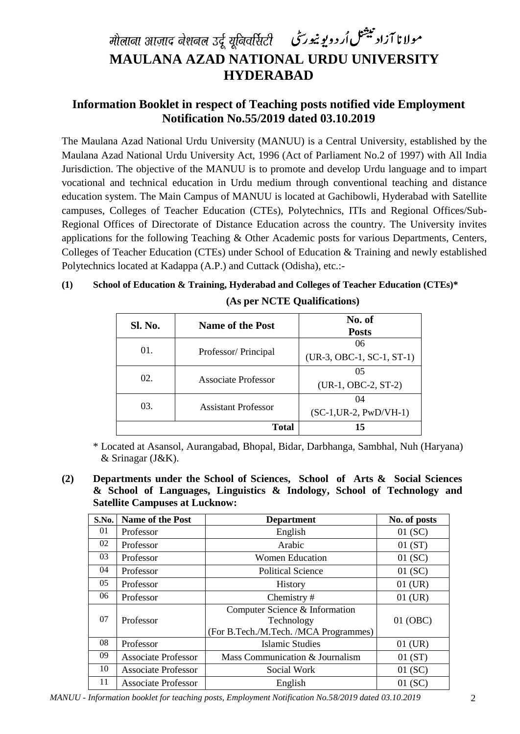# مولانا آزاد بیشنل اُردوبوییورسی मौलाना आज़ाद नेशनल उर्दू यूनिवर्सिटी **MAULANA AZAD NATIONAL URDU UNIVERSITY HYDERABAD**

## **Information Booklet in respect of Teaching posts notified vide Employment Notification No.55/2019 dated 03.10.2019**

The Maulana Azad National Urdu University (MANUU) is a Central University, established by the Maulana Azad National Urdu University Act, 1996 (Act of Parliament No.2 of 1997) with All India Jurisdiction. The objective of the MANUU is to promote and develop Urdu language and to impart vocational and technical education in Urdu medium through conventional teaching and distance education system. The Main Campus of MANUU is located at Gachibowli, Hyderabad with Satellite campuses, Colleges of Teacher Education (CTEs), Polytechnics, ITIs and Regional Offices/Sub-Regional Offices of Directorate of Distance Education across the country. The University invites applications for the following Teaching & Other Academic posts for various Departments, Centers, Colleges of Teacher Education (CTEs) under School of Education & Training and newly established Polytechnics located at Kadappa (A.P.) and Cuttack (Odisha), etc.:-

|         | (As per NCTE Qualifications) |        |  |
|---------|------------------------------|--------|--|
| Sl. No. | Name of the Post             | No. of |  |

**(1) School of Education & Training, Hyderabad and Colleges of Teacher Education (CTEs)\***

| Sl. No. | <b>Name of the Post</b>    | No. of<br><b>Posts</b>            |
|---------|----------------------------|-----------------------------------|
| 01.     | Professor/Principal        | 06<br>$(UR-3, OBC-1, SC-1, ST-1)$ |
| 02.     | Associate Professor        | 05<br>(UR-1, OBC-2, ST-2)         |
| 03.     | <b>Assistant Professor</b> | 04<br>$(SC-1, UR-2, PWD/VH-1)$    |
|         | <b>Total</b>               | 15                                |

\* Located at Asansol, Aurangabad, Bhopal, Bidar, Darbhanga, Sambhal, Nuh (Haryana) & Srinagar (J&K).

**(2) Departments under the School of Sciences, School of Arts & Social Sciences & School of Languages, Linguistics & Indology, School of Technology and Satellite Campuses at Lucknow:**

| S.No. | Name of the Post           | <b>Department</b>                                                                     | No. of posts |
|-------|----------------------------|---------------------------------------------------------------------------------------|--------------|
| 01    | Professor                  | English                                                                               | 01(SC)       |
| 02    | Professor                  | Arabic                                                                                | 01(ST)       |
| 03    | Professor                  | <b>Women Education</b>                                                                | 01(SC)       |
| 04    | Professor                  | <b>Political Science</b>                                                              | 01(SC)       |
| 05    | Professor                  | <b>History</b>                                                                        | $01$ (UR)    |
| 06    | Professor                  | Chemistry#                                                                            | $01$ (UR)    |
| 07    | Professor                  | Computer Science & Information<br>Technology<br>(For B.Tech./M.Tech. /MCA Programmes) | 01 (OBC)     |
| 08    | Professor                  | Islamic Studies                                                                       | $01$ (UR)    |
| 09    | <b>Associate Professor</b> | Mass Communication & Journalism                                                       | 01(ST)       |
| 10    | <b>Associate Professor</b> | Social Work                                                                           | 01(SC)       |
| 11    | <b>Associate Professor</b> | English                                                                               | 01(SC)       |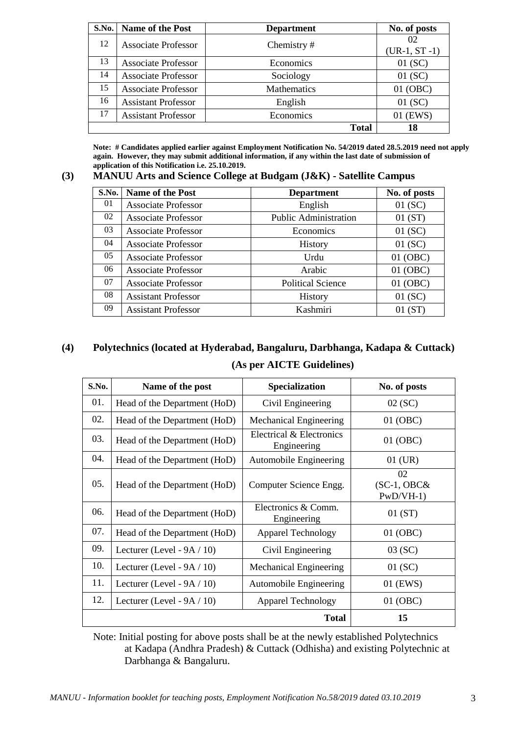| S.No. | <b>Name of the Post</b>    | <b>Department</b>  | No. of posts         |
|-------|----------------------------|--------------------|----------------------|
| 12    | <b>Associate Professor</b> | Chemistry#         | 02<br>$(UR-1, ST-1)$ |
| 13    | <b>Associate Professor</b> | Economics          | 01(SC)               |
| 14    | <b>Associate Professor</b> | Sociology          | 01(SC)               |
| 15    | <b>Associate Professor</b> | <b>Mathematics</b> | 01 (OBC)             |
| 16    | <b>Assistant Professor</b> | English            | 01(SC)               |
| 17    | <b>Assistant Professor</b> | Economics          | 01 (EWS)             |
|       |                            | <b>Total</b>       | 18                   |

**Note: # Candidates applied earlier against Employment Notification No. 54/2019 dated 28.5.2019 need not apply again. However, they may submit additional information, if any within the last date of submission of application of this Notification i.e. 25.10.2019.**

**(3) MANUU Arts and Science College at Budgam (J&K) - Satellite Campus**

| S.No. | <b>Name of the Post</b>    | <b>Department</b>            | No. of posts |
|-------|----------------------------|------------------------------|--------------|
| 01    | Associate Professor        | English                      | 01(SC)       |
| 02    | <b>Associate Professor</b> | <b>Public Administration</b> | 01(ST)       |
| 03    | Associate Professor        | Economics                    | 01(SC)       |
| 04    | Associate Professor        | History                      | 01(SC)       |
| 05    | <b>Associate Professor</b> | Urdu                         | 01 (OBC)     |
| 06    | <b>Associate Professor</b> | Arabic                       | 01 (OBC)     |
| 07    | <b>Associate Professor</b> | <b>Political Science</b>     | 01 (OBC)     |
| 08    | <b>Assistant Professor</b> | <b>History</b>               | 01(SC)       |
| 09    | <b>Assistant Professor</b> | Kashmiri                     | 01(ST)       |

## **(4) Polytechnics (located at Hyderabad, Bangaluru, Darbhanga, Kadapa & Cuttack) (As per AICTE Guidelines)**

| S.No. | Name of the post              | <b>Specialization</b>                   | No. of posts                      |
|-------|-------------------------------|-----------------------------------------|-----------------------------------|
| 01.   | Head of the Department (HoD)  | Civil Engineering                       | 02(SC)                            |
| 02.   | Head of the Department (HoD)  | Mechanical Engineering                  | 01 (OBC)                          |
| 03.   | Head of the Department (HoD)  | Electrical & Electronics<br>Engineering | 01 (OBC)                          |
| 04.   | Head of the Department (HoD)  | Automobile Engineering                  | $01$ (UR)                         |
| 05.   | Head of the Department (HoD)  | Computer Science Engg.                  | 02<br>$SC-1, OBC&$<br>$PWD/VH-1)$ |
| 06.   | Head of the Department (HoD)  | Electronics & Comm.<br>Engineering      | 01(ST)                            |
| 07.   | Head of the Department (HoD)  | <b>Apparel Technology</b>               | 01 (OBC)                          |
| 09.   | Lecturer (Level - $9A / 10$ ) | Civil Engineering                       | 03 (SC)                           |
| 10.   | Lecturer (Level - $9A / 10$ ) | Mechanical Engineering                  | 01(SC)                            |
| 11.   | Lecturer (Level - $9A / 10$ ) | Automobile Engineering                  | 01 (EWS)                          |
| 12.   | Lecturer (Level - $9A / 10$ ) | <b>Apparel Technology</b>               | 01 (OBC)                          |
|       |                               | <b>Total</b>                            | 15                                |

Note: Initial posting for above posts shall be at the newly established Polytechnics at Kadapa (Andhra Pradesh) & Cuttack (Odhisha) and existing Polytechnic at Darbhanga & Bangaluru.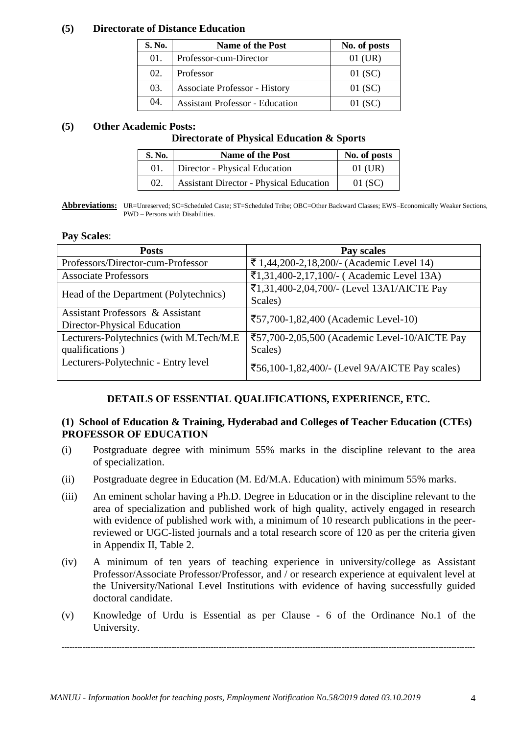#### **(5) Directorate of Distance Education**

| S. No. | <b>Name of the Post</b>                | No. of posts |
|--------|----------------------------------------|--------------|
| 01.    | Professor-cum-Director                 | $01$ (UR)    |
| 02.    | Professor                              | 01(SC)       |
| 03.    | Associate Professor - History          | $01$ (SC)    |
| 04.    | <b>Assistant Professor - Education</b> | $01$ (SC)    |

### **(5) Other Academic Posts:**

#### **Directorate of Physical Education & Sports**

| S. No. | <b>Name of the Post</b>                        | No. of posts |
|--------|------------------------------------------------|--------------|
| 01.    | Director - Physical Education                  | $01$ (UR)    |
| 02.    | <b>Assistant Director - Physical Education</b> | 01(SC)       |

**Abbreviations:** UR=Unreserved; SC=Scheduled Caste; ST=Scheduled Tribe; OBC=Other Backward Classes; EWS–Economically Weaker Sections, PWD – Persons with Disabilities.

#### **Pay Scales**:

| <b>Posts</b>                                | Pay scales                                     |  |
|---------------------------------------------|------------------------------------------------|--|
| Professors/Director-cum-Professor           | ₹ 1,44,200-2,18,200/- (Academic Level 14)      |  |
| <b>Associate Professors</b>                 | ₹1,31,400-2,17,100/- (Academic Level 13A)      |  |
| Head of the Department (Polytechnics)       | ₹1,31,400-2,04,700/- (Level 13A1/AICTE Pay     |  |
|                                             | Scales)                                        |  |
| <b>Assistant Professors &amp; Assistant</b> | ₹57,700-1,82,400 (Academic Level-10)           |  |
| Director-Physical Education                 |                                                |  |
| Lecturers-Polytechnics (with M.Tech/M.E     | ₹57,700-2,05,500 (Academic Level-10/AICTE Pay  |  |
| qualifications)                             | Scales)                                        |  |
| Lecturers-Polytechnic - Entry level         | ₹56,100-1,82,400/- (Level 9A/AICTE Pay scales) |  |

## **DETAILS OF ESSENTIAL QUALIFICATIONS, EXPERIENCE, ETC.**

#### **(1) School of Education & Training, Hyderabad and Colleges of Teacher Education (CTEs) PROFESSOR OF EDUCATION**

- (i) Postgraduate degree with minimum 55% marks in the discipline relevant to the area of specialization.
- (ii) Postgraduate degree in Education (M. Ed/M.A. Education) with minimum 55% marks.
- (iii) An eminent scholar having a Ph.D. Degree in Education or in the discipline relevant to the area of specialization and published work of high quality, actively engaged in research with evidence of published work with, a minimum of 10 research publications in the peerreviewed or UGC-listed journals and a total research score of 120 as per the criteria given in Appendix II, Table 2.
- (iv) A minimum of ten years of teaching experience in university/college as Assistant Professor/Associate Professor/Professor, and / or research experience at equivalent level at the University/National Level Institutions with evidence of having successfully guided doctoral candidate.
- (v) Knowledge of Urdu is Essential as per Clause 6 of the Ordinance No.1 of the University.

**--------------------------------------------------------------------------------------------------------------------------------------------------------------**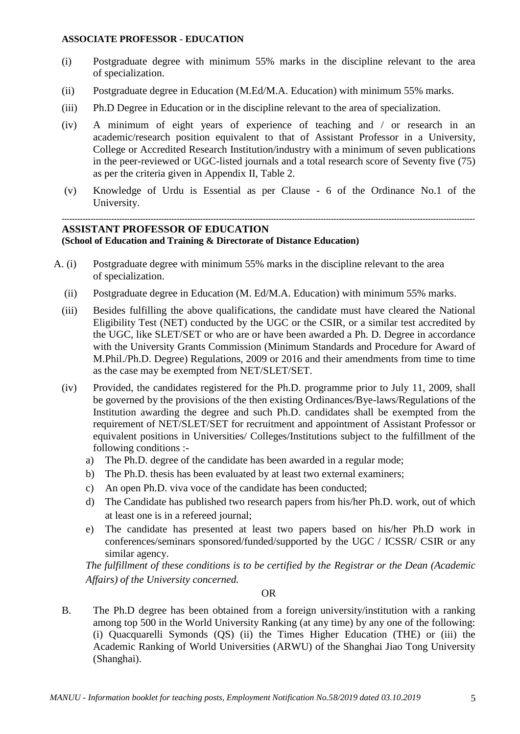#### **ASSOCIATE PROFESSOR - EDUCATION**

- (i) Postgraduate degree with minimum 55% marks in the discipline relevant to the area of specialization.
- (ii) Postgraduate degree in Education (M.Ed/M.A. Education) with minimum 55% marks.
- (iii) Ph.D Degree in Education or in the discipline relevant to the area of specialization.
- (iv) A minimum of eight years of experience of teaching and / or research in an academic/research position equivalent to that of Assistant Professor in a University, College or Accredited Research Institution/industry with a minimum of seven publications in the peer-reviewed or UGC-listed journals and a total research score of Seventy five (75) as per the criteria given in Appendix II, Table 2.
- (v) Knowledge of Urdu is Essential as per Clause 6 of the Ordinance No.1 of the University.

#### **-------------------------------------------------------------------------------------------------------------------------------------------------------------- ASSISTANT PROFESSOR OF EDUCATION**

## **(School of Education and Training & Directorate of Distance Education)**

- A. (i) Postgraduate degree with minimum 55% marks in the discipline relevant to the area of specialization.
	- (ii) Postgraduate degree in Education (M. Ed/M.A. Education) with minimum 55% marks.
	- (iii) Besides fulfilling the above qualifications, the candidate must have cleared the National Eligibility Test (NET) conducted by the UGC or the CSIR, or a similar test accredited by the UGC, like SLET/SET or who are or have been awarded a Ph. D. Degree in accordance with the University Grants Commission (Minimum Standards and Procedure for Award of M.Phil./Ph.D. Degree) Regulations, 2009 or 2016 and their amendments from time to time as the case may be exempted from NET/SLET/SET.
	- (iv) Provided, the candidates registered for the Ph.D. programme prior to July 11, 2009, shall be governed by the provisions of the then existing Ordinances/Bye-laws/Regulations of the Institution awarding the degree and such Ph.D. candidates shall be exempted from the requirement of NET/SLET/SET for recruitment and appointment of Assistant Professor or equivalent positions in Universities/ Colleges/Institutions subject to the fulfillment of the following conditions :
		- a) The Ph.D. degree of the candidate has been awarded in a regular mode;
		- b) The Ph.D. thesis has been evaluated by at least two external examiners;
		- c) An open Ph.D. viva voce of the candidate has been conducted;
		- d) The Candidate has published two research papers from his/her Ph.D. work, out of which at least one is in a refereed journal;
		- e) The candidate has presented at least two papers based on his/her Ph.D work in conferences/seminars sponsored/funded/supported by the UGC / ICSSR/ CSIR or any similar agency.

*The fulfillment of these conditions is to be certified by the Registrar or the Dean (Academic Affairs) of the University concerned.*

#### OR

B. The Ph.D degree has been obtained from a foreign university/institution with a ranking among top 500 in the World University Ranking (at any time) by any one of the following: (i) Quacquarelli Symonds (QS) (ii) the Times Higher Education (THE) or (iii) the Academic Ranking of World Universities (ARWU) of the Shanghai Jiao Tong University (Shanghai).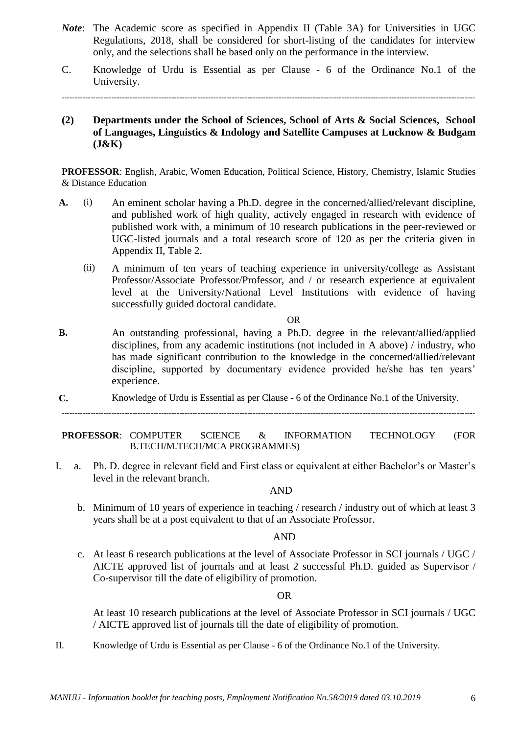- *Note*: The Academic score as specified in Appendix II (Table 3A) for Universities in UGC Regulations, 2018, shall be considered for short-listing of the candidates for interview only, and the selections shall be based only on the performance in the interview.
- C. Knowledge of Urdu is Essential as per Clause 6 of the Ordinance No.1 of the University.

**--------------------------------------------------------------------------------------------------------------------------------------------------------------**

**(2) Departments under the School of Sciences, School of Arts & Social Sciences, School of Languages, Linguistics & Indology and Satellite Campuses at Lucknow & Budgam (J&K)**

**PROFESSOR**: English, Arabic, Women Education, Political Science, History, Chemistry, Islamic Studies & Distance Education

- **A.** (i) An eminent scholar having a Ph.D. degree in the concerned/allied/relevant discipline, and published work of high quality, actively engaged in research with evidence of published work with, a minimum of 10 research publications in the peer-reviewed or UGC-listed journals and a total research score of 120 as per the criteria given in Appendix II, Table 2.
	- (ii) A minimum of ten years of teaching experience in university/college as Assistant Professor/Associate Professor/Professor, and / or research experience at equivalent level at the University/National Level Institutions with evidence of having successfully guided doctoral candidate.

#### OR

- **B.** An outstanding professional, having a Ph.D. degree in the relevant/allied/applied disciplines, from any academic institutions (not included in A above) / industry, who has made significant contribution to the knowledge in the concerned/allied/relevant discipline, supported by documentary evidence provided he/she has ten years' experience.
- **C.** Knowledge of Urdu is Essential as per Clause 6 of the Ordinance No.1 of the University.

**--------------------------------------------------------------------------------------------------------------------------------------------------------------**

**PROFESSOR**: COMPUTER SCIENCE & INFORMATION TECHNOLOGY (FOR B.TECH/M.TECH/MCA PROGRAMMES)

I. a. Ph. D. degree in relevant field and First class or equivalent at either Bachelor's or Master's level in the relevant branch.

#### AND

b. Minimum of 10 years of experience in teaching / research / industry out of which at least 3 years shall be at a post equivalent to that of an Associate Professor.

#### AND

c. At least 6 research publications at the level of Associate Professor in SCI journals / UGC / AICTE approved list of journals and at least 2 successful Ph.D. guided as Supervisor / Co-supervisor till the date of eligibility of promotion.

#### OR

At least 10 research publications at the level of Associate Professor in SCI journals / UGC / AICTE approved list of journals till the date of eligibility of promotion.

II. Knowledge of Urdu is Essential as per Clause - 6 of the Ordinance No.1 of the University.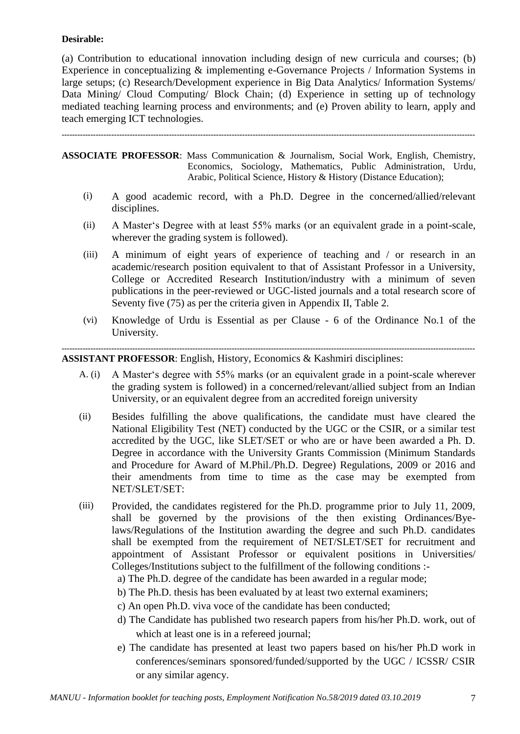#### **Desirable:**

(a) Contribution to educational innovation including design of new curricula and courses; (b) Experience in conceptualizing & implementing e-Governance Projects / Information Systems in large setups; (c) Research/Development experience in Big Data Analytics/ Information Systems/ Data Mining/ Cloud Computing/ Block Chain; (d) Experience in setting up of technology mediated teaching learning process and environments; and (e) Proven ability to learn, apply and teach emerging ICT technologies.

**--------------------------------------------------------------------------------------------------------------------------------------------------------------**

**ASSOCIATE PROFESSOR**: Mass Communication & Journalism, Social Work, English, Chemistry, Economics, Sociology, Mathematics, Public Administration, Urdu, Arabic, Political Science, History & History (Distance Education);

- (i) A good academic record, with a Ph.D. Degree in the concerned/allied/relevant disciplines.
- (ii) A Master"s Degree with at least 55% marks (or an equivalent grade in a point-scale, wherever the grading system is followed).
- (iii) A minimum of eight years of experience of teaching and / or research in an academic/research position equivalent to that of Assistant Professor in a University, College or Accredited Research Institution/industry with a minimum of seven publications in the peer-reviewed or UGC-listed journals and a total research score of Seventy five (75) as per the criteria given in Appendix II, Table 2.
- (vi) Knowledge of Urdu is Essential as per Clause 6 of the Ordinance No.1 of the University.

**-------------------------------------------------------------------------------------------------------------------------------------------------------------- ASSISTANT PROFESSOR**: English, History, Economics & Kashmiri disciplines:

- A. (i) A Master"s degree with 55% marks (or an equivalent grade in a point-scale wherever the grading system is followed) in a concerned/relevant/allied subject from an Indian University, or an equivalent degree from an accredited foreign university
- (ii) Besides fulfilling the above qualifications, the candidate must have cleared the National Eligibility Test (NET) conducted by the UGC or the CSIR, or a similar test accredited by the UGC, like SLET/SET or who are or have been awarded a Ph. D. Degree in accordance with the University Grants Commission (Minimum Standards and Procedure for Award of M.Phil./Ph.D. Degree) Regulations, 2009 or 2016 and their amendments from time to time as the case may be exempted from NET/SLET/SET:
- (iii) Provided, the candidates registered for the Ph.D. programme prior to July 11, 2009, shall be governed by the provisions of the then existing Ordinances/Byelaws/Regulations of the Institution awarding the degree and such Ph.D. candidates shall be exempted from the requirement of NET/SLET/SET for recruitment and appointment of Assistant Professor or equivalent positions in Universities/ Colleges/Institutions subject to the fulfillment of the following conditions :
	- a) The Ph.D. degree of the candidate has been awarded in a regular mode;
	- b) The Ph.D. thesis has been evaluated by at least two external examiners;
	- c) An open Ph.D. viva voce of the candidate has been conducted;
	- d) The Candidate has published two research papers from his/her Ph.D. work, out of which at least one is in a refereed journal;
	- e) The candidate has presented at least two papers based on his/her Ph.D work in conferences/seminars sponsored/funded/supported by the UGC / ICSSR/ CSIR or any similar agency.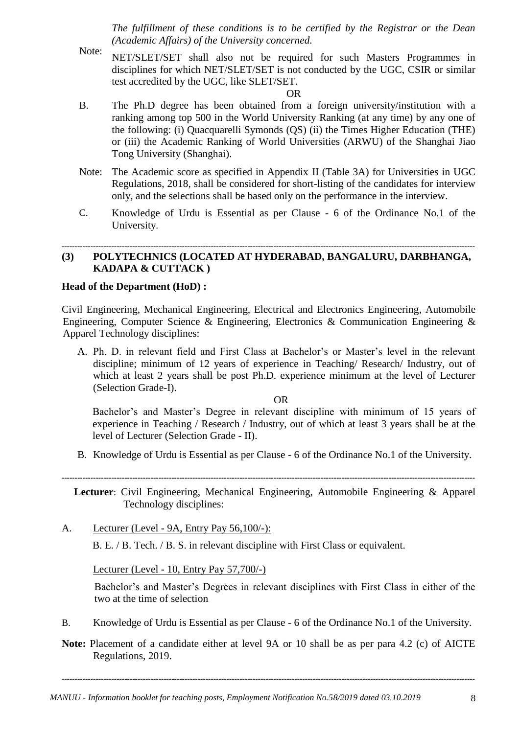*The fulfillment of these conditions is to be certified by the Registrar or the Dean (Academic Affairs) of the University concerned.*

Note: NET/SLET/SET shall also not be required for such Masters Programmes in disciplines for which NET/SLET/SET is not conducted by the UGC, CSIR or similar test accredited by the UGC, like SLET/SET.

#### OR

- B. The Ph.D degree has been obtained from a foreign university/institution with a ranking among top 500 in the World University Ranking (at any time) by any one of the following: (i) Quacquarelli Symonds (QS) (ii) the Times Higher Education (THE) or (iii) the Academic Ranking of World Universities (ARWU) of the Shanghai Jiao Tong University (Shanghai).
- Note: The Academic score as specified in Appendix II (Table 3A) for Universities in UGC Regulations, 2018, shall be considered for short-listing of the candidates for interview only, and the selections shall be based only on the performance in the interview.
- C. Knowledge of Urdu is Essential as per Clause 6 of the Ordinance No.1 of the University.

#### **-------------------------------------------------------------------------------------------------------------------------------------------------------------- (3) POLYTECHNICS (LOCATED AT HYDERABAD, BANGALURU, DARBHANGA, KADAPA & CUTTACK )**

#### **Head of the Department (HoD) :**

Civil Engineering, Mechanical Engineering, Electrical and Electronics Engineering, Automobile Engineering, Computer Science & Engineering, Electronics & Communication Engineering & Apparel Technology disciplines:

A. Ph. D. in relevant field and First Class at Bachelor's or Master's level in the relevant discipline; minimum of 12 years of experience in Teaching/ Research/ Industry, out of which at least 2 years shall be post Ph.D. experience minimum at the level of Lecturer (Selection Grade-I).

OR

Bachelor's and Master's Degree in relevant discipline with minimum of 15 years of experience in Teaching / Research / Industry, out of which at least 3 years shall be at the level of Lecturer (Selection Grade - II).

B. Knowledge of Urdu is Essential as per Clause - 6 of the Ordinance No.1 of the University.

**--------------------------------------------------------------------------------------------------------------------------------------------------------------**

**Lecturer**: Civil Engineering, Mechanical Engineering, Automobile Engineering & Apparel Technology disciplines:

A. Lecturer (Level - 9A, Entry Pay 56,100/-):

B. E. / B. Tech. / B. S. in relevant discipline with First Class or equivalent.

Lecturer (Level - 10, Entry Pay 57,700/-)

Bachelor's and Master's Degrees in relevant disciplines with First Class in either of the two at the time of selection

- B. Knowledge of Urdu is Essential as per Clause 6 of the Ordinance No.1 of the University.
- **Note:** Placement of a candidate either at level 9A or 10 shall be as per para 4.2 (c) of AICTE Regulations, 2019.

**--------------------------------------------------------------------------------------------------------------------------------------------------------------**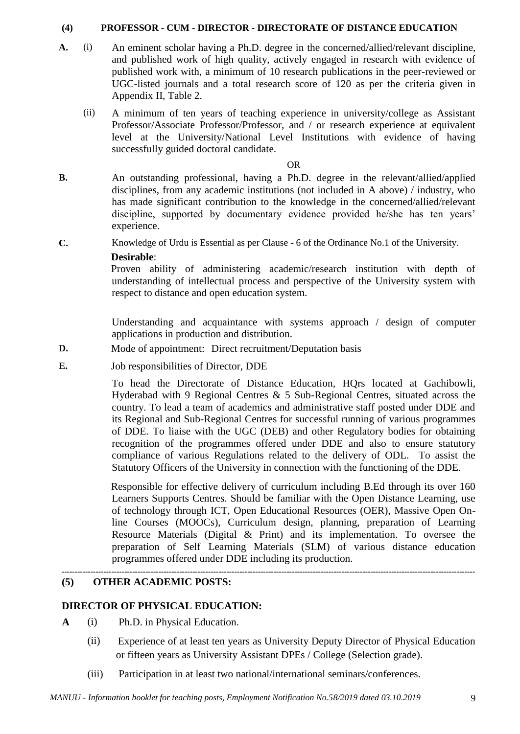#### **(4) PROFESSOR - CUM - DIRECTOR - DIRECTORATE OF DISTANCE EDUCATION**

- **A.** (i) An eminent scholar having a Ph.D. degree in the concerned/allied/relevant discipline, and published work of high quality, actively engaged in research with evidence of published work with, a minimum of 10 research publications in the peer-reviewed or UGC-listed journals and a total research score of 120 as per the criteria given in Appendix II, Table 2.
	- (ii) A minimum of ten years of teaching experience in university/college as Assistant Professor/Associate Professor/Professor, and / or research experience at equivalent level at the University/National Level Institutions with evidence of having successfully guided doctoral candidate.

#### OR

- **B.** An outstanding professional, having a Ph.D. degree in the relevant/allied/applied disciplines, from any academic institutions (not included in A above) / industry, who has made significant contribution to the knowledge in the concerned/allied/relevant discipline, supported by documentary evidence provided he/she has ten years' experience.
- **C.** Knowledge of Urdu is Essential as per Clause 6 of the Ordinance No.1 of the University.

#### **Desirable**:

Proven ability of administering academic/research institution with depth of understanding of intellectual process and perspective of the University system with respect to distance and open education system.

Understanding and acquaintance with systems approach / design of computer applications in production and distribution.

- **D.** Mode of appointment: Direct recruitment/Deputation basis
- **E.** Job responsibilities of Director, DDE

To head the Directorate of Distance Education, HQrs located at Gachibowli, Hyderabad with 9 Regional Centres & 5 Sub-Regional Centres, situated across the country. To lead a team of academics and administrative staff posted under DDE and its Regional and Sub-Regional Centres for successful running of various programmes of DDE. To liaise with the UGC (DEB) and other Regulatory bodies for obtaining recognition of the programmes offered under DDE and also to ensure statutory compliance of various Regulations related to the delivery of ODL. To assist the Statutory Officers of the University in connection with the functioning of the DDE.

Responsible for effective delivery of curriculum including B.Ed through its over 160 Learners Supports Centres. Should be familiar with the Open Distance Learning, use of technology through ICT, Open Educational Resources (OER), Massive Open Online Courses (MOOCs), Curriculum design, planning, preparation of Learning Resource Materials (Digital & Print) and its implementation. To oversee the preparation of Self Learning Materials (SLM) of various distance education programmes offered under DDE including its production.

## **(5) OTHER ACADEMIC POSTS:**

## **DIRECTOR OF PHYSICAL EDUCATION:**

- **A** (i) Ph.D. in Physical Education.
	- (ii) Experience of at least ten years as University Deputy Director of Physical Education or fifteen years as University Assistant DPEs / College (Selection grade).

**--------------------------------------------------------------------------------------------------------------------------------------------------------------**

(iii) Participation in at least two national/international seminars/conferences.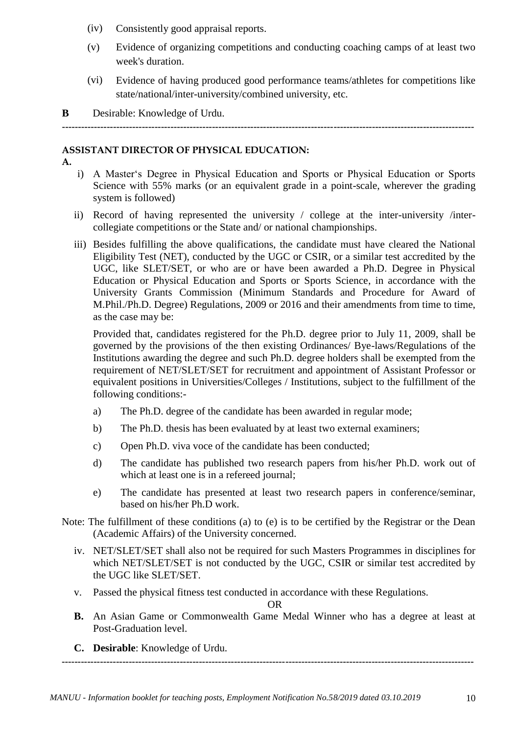- (iv) Consistently good appraisal reports.
- (v) Evidence of organizing competitions and conducting coaching camps of at least two week's duration.
- (vi) Evidence of having produced good performance teams/athletes for competitions like state/national/inter-university/combined university, etc.

**B** Desirable: Knowledge of Urdu.

**---------------------------------------------------------------------------------------------------------------------------------**

## **ASSISTANT DIRECTOR OF PHYSICAL EDUCATION:**

**A.**

- i) A Master"s Degree in Physical Education and Sports or Physical Education or Sports Science with 55% marks (or an equivalent grade in a point-scale, wherever the grading system is followed)
- ii) Record of having represented the university / college at the inter-university /intercollegiate competitions or the State and/ or national championships.
- iii) Besides fulfilling the above qualifications, the candidate must have cleared the National Eligibility Test (NET), conducted by the UGC or CSIR, or a similar test accredited by the UGC, like SLET/SET, or who are or have been awarded a Ph.D. Degree in Physical Education or Physical Education and Sports or Sports Science, in accordance with the University Grants Commission (Minimum Standards and Procedure for Award of M.Phil./Ph.D. Degree) Regulations, 2009 or 2016 and their amendments from time to time, as the case may be:

Provided that, candidates registered for the Ph.D. degree prior to July 11, 2009, shall be governed by the provisions of the then existing Ordinances/ Bye-laws/Regulations of the Institutions awarding the degree and such Ph.D. degree holders shall be exempted from the requirement of NET/SLET/SET for recruitment and appointment of Assistant Professor or equivalent positions in Universities/Colleges / Institutions, subject to the fulfillment of the following conditions:-

- a) The Ph.D. degree of the candidate has been awarded in regular mode;
- b) The Ph.D. thesis has been evaluated by at least two external examiners;
- c) Open Ph.D. viva voce of the candidate has been conducted;
- d) The candidate has published two research papers from his/her Ph.D. work out of which at least one is in a refereed journal;
- e) The candidate has presented at least two research papers in conference/seminar, based on his/her Ph.D work.
- Note: The fulfillment of these conditions (a) to (e) is to be certified by the Registrar or the Dean (Academic Affairs) of the University concerned.
	- iv. NET/SLET/SET shall also not be required for such Masters Programmes in disciplines for which NET/SLET/SET is not conducted by the UGC, CSIR or similar test accredited by the UGC like SLET/SET.
	- v. Passed the physical fitness test conducted in accordance with these Regulations.

OR

**B.** An Asian Game or Commonwealth Game Medal Winner who has a degree at least at Post-Graduation level.

**---------------------------------------------------------------------------------------------------------------------------------**

**C. Desirable**: Knowledge of Urdu.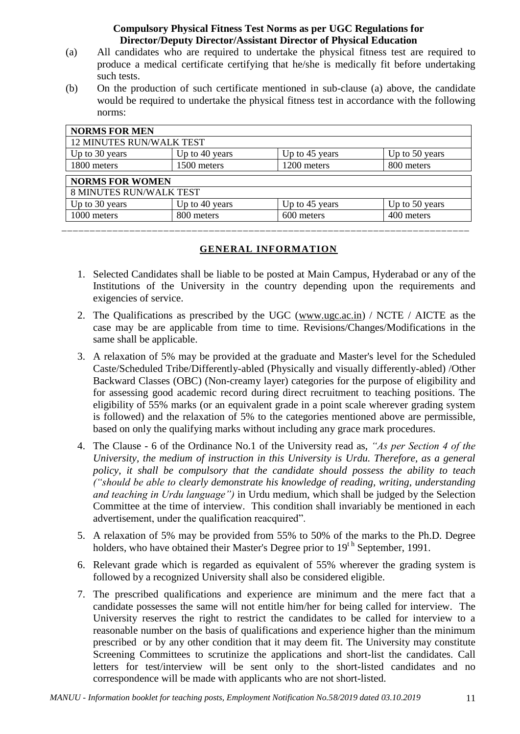## **Compulsory Physical Fitness Test Norms as per UGC Regulations for Director/Deputy Director/Assistant Director of Physical Education**

- (a) All candidates who are required to undertake the physical fitness test are required to produce a medical certificate certifying that he/she is medically fit before undertaking such tests.
- (b) On the production of such certificate mentioned in sub-clause (a) above, the candidate would be required to undertake the physical fitness test in accordance with the following norms:

| <b>NORMS FOR MEN</b>            |                |                |                |
|---------------------------------|----------------|----------------|----------------|
| <b>12 MINUTES RUN/WALK TEST</b> |                |                |                |
| Up to 30 years                  | Up to 40 years | Up to 45 years | Up to 50 years |
| 1800 meters                     | 1500 meters    | 1200 meters    | 800 meters     |
| <b>NORMS FOR WOMEN</b>          |                |                |                |
| <b>8 MINUTES RUN/WALK TEST</b>  |                |                |                |
| Up to 30 years                  | Up to 40 years | Up to 45 years | Up to 50 years |
| 1000 meters                     | 800 meters     | 600 meters     | 400 meters     |
|                                 |                |                |                |

#### **GENERAL INFORMATION**

- 1. Selected Candidates shall be liable to be posted at Main Campus, Hyderabad or any of the Institutions of the University in the country depending upon the requirements and exigencies of service.
- 2. The Qualifications as prescribed by the UGC [\(www.ugc.ac.in\)](http://www.ugc.ac.in/) / NCTE / AICTE as the case may be are applicable from time to time. Revisions/Changes/Modifications in the same shall be applicable.
- 3. A relaxation of 5% may be provided at the graduate and Master's level for the Scheduled Caste/Scheduled Tribe/Differently-abled (Physically and visually differently-abled) /Other Backward Classes (OBC) (Non-creamy layer) categories for the purpose of eligibility and for assessing good academic record during direct recruitment to teaching positions. The eligibility of 55% marks (or an equivalent grade in a point scale wherever grading system is followed) and the relaxation of 5% to the categories mentioned above are permissible, based on only the qualifying marks without including any grace mark procedures.
- 4. The Clause 6 of the Ordinance No.1 of the University read as, *"As per Section 4 of the University, the medium of instruction in this University is Urdu. Therefore, as a general policy, it shall be compulsory that the candidate should possess the ability to teach ("should be able to clearly demonstrate his knowledge of reading, writing, understanding and teaching in Urdu language")* in Urdu medium, which shall be judged by the Selection Committee at the time of interview. This condition shall invariably be mentioned in each advertisement, under the qualification reacquired".
- 5. A relaxation of 5% may be provided from 55% to 50% of the marks to the Ph.D. Degree holders, who have obtained their Master's Degree prior to  $19<sup>th</sup>$  September, 1991.
- 6. Relevant grade which is regarded as equivalent of 55% wherever the grading system is followed by a recognized University shall also be considered eligible.
- 7. The prescribed qualifications and experience are minimum and the mere fact that a candidate possesses the same will not entitle him/her for being called for interview. The University reserves the right to restrict the candidates to be called for interview to a reasonable number on the basis of qualifications and experience higher than the minimum prescribed or by any other condition that it may deem fit. The University may constitute Screening Committees to scrutinize the applications and short-list the candidates. Call letters for test/interview will be sent only to the short-listed candidates and no correspondence will be made with applicants who are not short-listed.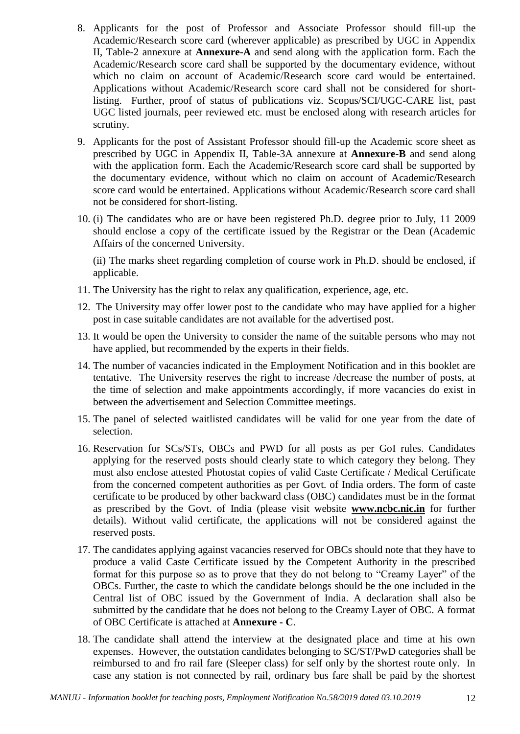- 8. Applicants for the post of Professor and Associate Professor should fill-up the Academic/Research score card (wherever applicable) as prescribed by UGC in Appendix II, Table-2 annexure at **Annexure-A** and send along with the application form. Each the Academic/Research score card shall be supported by the documentary evidence, without which no claim on account of Academic/Research score card would be entertained. Applications without Academic/Research score card shall not be considered for shortlisting. Further, proof of status of publications viz. Scopus/SCI/UGC-CARE list, past UGC listed journals, peer reviewed etc. must be enclosed along with research articles for scrutiny.
- 9. Applicants for the post of Assistant Professor should fill-up the Academic score sheet as prescribed by UGC in Appendix II, Table-3A annexure at **Annexure-B** and send along with the application form. Each the Academic/Research score card shall be supported by the documentary evidence, without which no claim on account of Academic/Research score card would be entertained. Applications without Academic/Research score card shall not be considered for short-listing.
- 10. (i) The candidates who are or have been registered Ph.D. degree prior to July, 11 2009 should enclose a copy of the certificate issued by the Registrar or the Dean (Academic Affairs of the concerned University.

(ii) The marks sheet regarding completion of course work in Ph.D. should be enclosed, if applicable.

- 11. The University has the right to relax any qualification, experience, age, etc.
- 12. The University may offer lower post to the candidate who may have applied for a higher post in case suitable candidates are not available for the advertised post.
- 13. It would be open the University to consider the name of the suitable persons who may not have applied, but recommended by the experts in their fields.
- 14. The number of vacancies indicated in the Employment Notification and in this booklet are tentative. The University reserves the right to increase /decrease the number of posts, at the time of selection and make appointments accordingly, if more vacancies do exist in between the advertisement and Selection Committee meetings.
- 15. The panel of selected waitlisted candidates will be valid for one year from the date of selection.
- 16. Reservation for SCs/STs, OBCs and PWD for all posts as per GoI rules. Candidates applying for the reserved posts should clearly state to which category they belong. They must also enclose attested Photostat copies of valid Caste Certificate / Medical Certificate from the concerned competent authorities as per Govt. of India orders. The form of caste certificate to be produced by other backward class (OBC) candidates must be in the format as prescribed by the Govt. of India (please visit website **[www.ncbc.nic.in](http://www.ncbc.nic.in/)** for further details). Without valid certificate, the applications will not be considered against the reserved posts.
- 17. The candidates applying against vacancies reserved for OBCs should note that they have to produce a valid Caste Certificate issued by the Competent Authority in the prescribed format for this purpose so as to prove that they do not belong to "Creamy Layer" of the OBCs. Further, the caste to which the candidate belongs should be the one included in the Central list of OBC issued by the Government of India. A declaration shall also be submitted by the candidate that he does not belong to the Creamy Layer of OBC. A format of OBC Certificate is attached at **Annexure - C**.
- 18. The candidate shall attend the interview at the designated place and time at his own expenses. However, the outstation candidates belonging to SC/ST/PwD categories shall be reimbursed to and fro rail fare (Sleeper class) for self only by the shortest route only. In case any station is not connected by rail, ordinary bus fare shall be paid by the shortest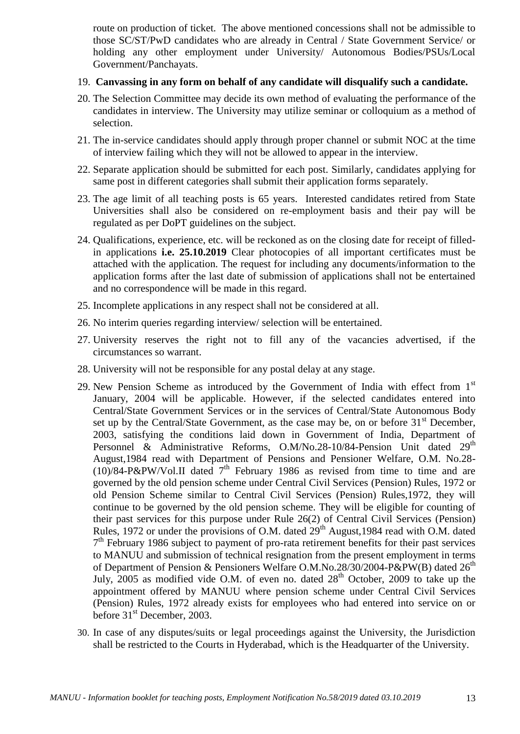route on production of ticket. The above mentioned concessions shall not be admissible to those SC/ST/PwD candidates who are already in Central / State Government Service/ or holding any other employment under University/ Autonomous Bodies/PSUs/Local Government/Panchayats.

#### 19. **Canvassing in any form on behalf of any candidate will disqualify such a candidate.**

- 20. The Selection Committee may decide its own method of evaluating the performance of the candidates in interview. The University may utilize seminar or colloquium as a method of selection.
- 21. The in-service candidates should apply through proper channel or submit NOC at the time of interview failing which they will not be allowed to appear in the interview.
- 22. Separate application should be submitted for each post. Similarly, candidates applying for same post in different categories shall submit their application forms separately.
- 23. The age limit of all teaching posts is 65 years. Interested candidates retired from State Universities shall also be considered on re-employment basis and their pay will be regulated as per DoPT guidelines on the subject.
- 24. Qualifications, experience, etc. will be reckoned as on the closing date for receipt of filledin applications **i.e. 25.10.2019** Clear photocopies of all important certificates must be attached with the application. The request for including any documents/information to the application forms after the last date of submission of applications shall not be entertained and no correspondence will be made in this regard.
- 25. Incomplete applications in any respect shall not be considered at all.
- 26. No interim queries regarding interview/ selection will be entertained.
- 27. University reserves the right not to fill any of the vacancies advertised, if the circumstances so warrant.
- 28. University will not be responsible for any postal delay at any stage.
- 29. New Pension Scheme as introduced by the Government of India with effect from  $1<sup>st</sup>$ January, 2004 will be applicable. However, if the selected candidates entered into Central/State Government Services or in the services of Central/State Autonomous Body set up by the Central/State Government, as the case may be, on or before  $31<sup>st</sup>$  December, 2003, satisfying the conditions laid down in Government of India, Department of Personnel & Administrative Reforms, O.M/No.28-10/84-Pension Unit dated 29<sup>th</sup> August,1984 read with Department of Pensions and Pensioner Welfare, O.M. No.28- (10)/84-P&PW/Vol.II dated  $7<sup>th</sup>$  February 1986 as revised from time to time and are governed by the old pension scheme under Central Civil Services (Pension) Rules, 1972 or old Pension Scheme similar to Central Civil Services (Pension) Rules,1972, they will continue to be governed by the old pension scheme. They will be eligible for counting of their past services for this purpose under Rule 26(2) of Central Civil Services (Pension) Rules, 1972 or under the provisions of O.M. dated  $29<sup>th</sup>$  August, 1984 read with O.M. dated 7<sup>th</sup> February 1986 subject to payment of pro-rata retirement benefits for their past services to MANUU and submission of technical resignation from the present employment in terms of Department of Pension & Pensioners Welfare O.M.No.28/30/2004-P&PW(B) dated  $26<sup>th</sup>$ July,  $2005$  as modified vide O.M. of even no. dated  $28<sup>th</sup>$  October, 2009 to take up the appointment offered by MANUU where pension scheme under Central Civil Services (Pension) Rules, 1972 already exists for employees who had entered into service on or before 31<sup>st</sup> December, 2003.
- 30. In case of any disputes/suits or legal proceedings against the University, the Jurisdiction shall be restricted to the Courts in Hyderabad, which is the Headquarter of the University.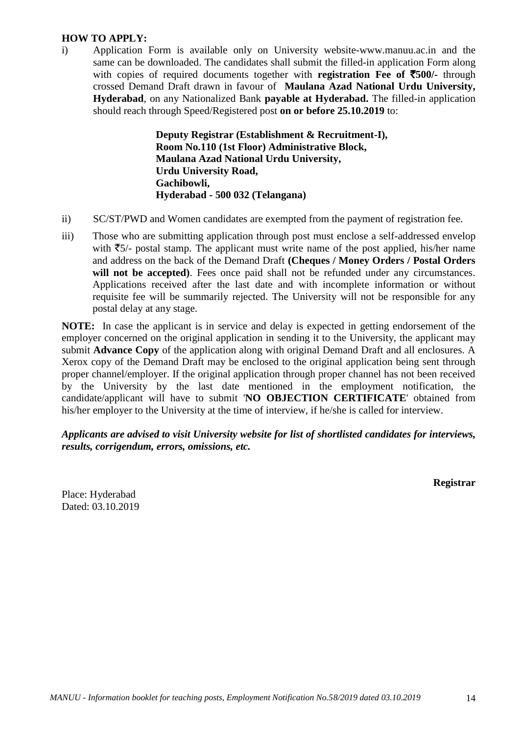### **HOW TO APPLY:**

i) Application Form is available only on University website-www.manuu.ac.in and the same can be downloaded. The candidates shall submit the filled-in application Form along with copies of required documents together with **registration Fee of** `**500/-** through crossed Demand Draft drawn in favour of **Maulana Azad National Urdu University, Hyderabad**, on any Nationalized Bank **payable at Hyderabad.** The filled-in application should reach through Speed/Registered post **on or before 25.10.2019** to:

> **Deputy Registrar (Establishment & Recruitment-I), Room No.110 (1st Floor) Administrative Block, Maulana Azad National Urdu University, Urdu University Road, Gachibowli, Hyderabad - 500 032 (Telangana)**

- ii) SC/ST/PWD and Women candidates are exempted from the payment of registration fee.
- iii) Those who are submitting application through post must enclose a self-addressed envelop with  $\overline{5}/$ - postal stamp. The applicant must write name of the post applied, his/her name and address on the back of the Demand Draft **(Cheques / Money Orders / Postal Orders**  will not be accepted). Fees once paid shall not be refunded under any circumstances. Applications received after the last date and with incomplete information or without requisite fee will be summarily rejected. The University will not be responsible for any postal delay at any stage.

**NOTE:** In case the applicant is in service and delay is expected in getting endorsement of the employer concerned on the original application in sending it to the University, the applicant may submit **Advance Copy** of the application along with original Demand Draft and all enclosures. A Xerox copy of the Demand Draft may be enclosed to the original application being sent through proper channel/employer. If the original application through proper channel has not been received by the University by the last date mentioned in the employment notification, the candidate/applicant will have to submit '**NO OBJECTION CERTIFICATE**' obtained from his/her employer to the University at the time of interview, if he/she is called for interview.

*Applicants are advised to visit University website for list of shortlisted candidates for interviews, results, corrigendum, errors, omissions, etc.*

**Registrar**

Place: Hyderabad Dated: 03.10.2019